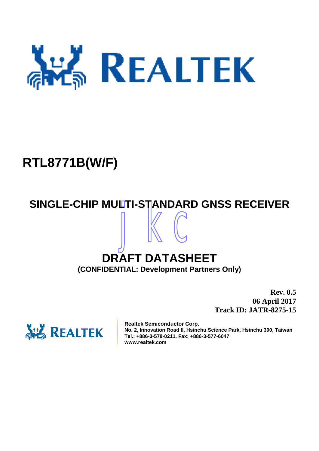

# **RTL8771B(W/F)**

# jkc **SINGLE-CHIP MULTI-STANDARD GNSS RECEIVER**

# **DRAFT DATASHEET (CONFIDENTIAL: Development Partners Only)**

**Rev. 0.5 06 April 2017 Track ID: JATR-8275-15**



**Realtek Semiconductor Corp. No. 2, Innovation Road II, Hsinchu Science Park, Hsinchu 300, Taiwan Tel.: +886-3-578-0211. Fax: +886-3-577-6047 www.realtek.com**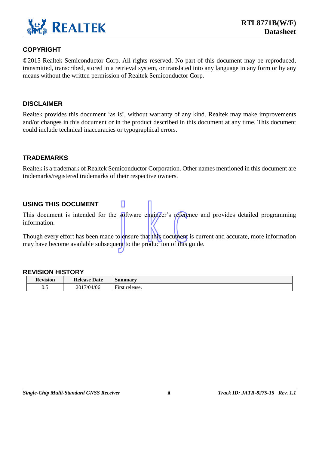

### **COPYRIGHT**

©2015 Realtek Semiconductor Corp. All rights reserved. No part of this document may be reproduced, transmitted, transcribed, stored in a retrieval system, or translated into any language in any form or by any means without the written permission of Realtek Semiconductor Corp.

### **DISCLAIMER**

Realtek provides this document 'as is', without warranty of any kind. Realtek may make improvements and/or changes in this document or in the product described in this document at any time. This document could include technical inaccuracies or typographical errors.

### **TRADEMARKS**

Realtek is a trademark of Realtek Semiconductor Corporation. Other names mentioned in this document are trademarks/registered trademarks of their respective owners.

### **USING THIS DOCUMENT**

This document is intended for the software engineer's reference and provides detailed programming information.

Software engineer's reference Though every effort has been made to ensure that this document is current and accurate, more information may have become available subsequent to the production of this guide.

### **REVISION HISTORY**

| <b>Revision</b> | <b>Release</b><br><b>Date</b> | Summarv                                        |
|-----------------|-------------------------------|------------------------------------------------|
| 0.5             | 2017/04/06                    | $\overline{\phantom{a}}$<br>release.<br>First. |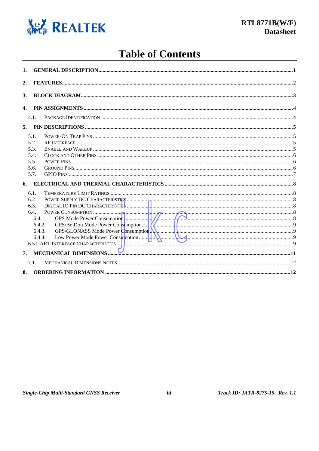

# **Table of Contents**

| 1.             |                                                                      |                                                                 |  |
|----------------|----------------------------------------------------------------------|-----------------------------------------------------------------|--|
| 2.             |                                                                      |                                                                 |  |
| 3.             |                                                                      |                                                                 |  |
| $\mathbf{4}$ . |                                                                      |                                                                 |  |
|                | 4.1.                                                                 |                                                                 |  |
|                |                                                                      |                                                                 |  |
|                | 5.1.<br>5.2.<br>5.3.<br>5.4.<br>5.5.<br>5.6.<br>5.7.                 |                                                                 |  |
|                |                                                                      |                                                                 |  |
|                | 6.1.<br>6.2.<br>6.3.<br>6.4.<br>6.4.1.<br>6.4.2.<br>6.4.3.<br>6.4.4. | POWER CONSUMPTION                                               |  |
| 7.             |                                                                      | MECHANICAL DIMENSIONS <b>Example 2008</b> MECHANICAL DIMENSIONS |  |
| 8.             | 7.1.                                                                 |                                                                 |  |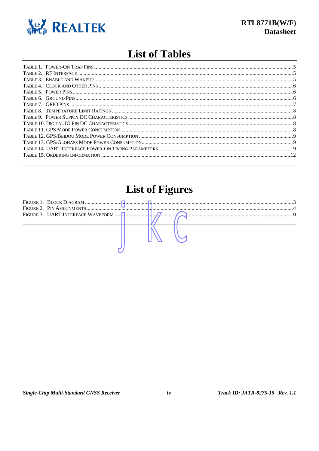

# **List of Tables**

# **List of Figures**

|  |  |  | <u>\</u> |
|--|--|--|----------|
|  |  |  |          |
|  |  |  |          |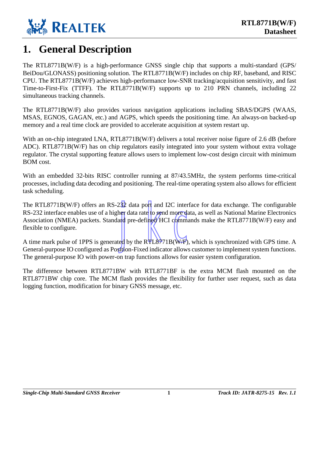

## <span id="page-4-0"></span>**1. General Description**

The RTL8771B(W/F) is a high-performance GNSS single chip that supports a multi-standard (GPS/ BeiDou/GLONASS) positioning solution. The RTL8771B(W/F) includes on chip RF, baseband, and RISC CPU. The RTL8771B(W/F) achieves high-performance low-SNR tracking/acquisition sensitivity, and fast Time-to-First-Fix (TTFF). The RTL8771B(W/F) supports up to 210 PRN channels, including 22 simultaneous tracking channels.

The RTL8771B(W/F) also provides various navigation applications including SBAS/DGPS (WAAS, MSAS, EGNOS, GAGAN, etc.) and AGPS, which speeds the positioning time. An always-on backed-up memory and a real time clock are provided to accelerate acquisition at system restart up.

With an on-chip integrated LNA, RTL8771B(W/F) delivers a total receiver noise figure of 2.6 dB (before ADC). RTL8771B(W/F) has on chip regulators easily integrated into your system without extra voltage regulator. The crystal supporting feature allows users to implement low-cost design circuit with minimum BOM cost.

With an embedded 32-bits RISC controller running at 87/43.5MHz, the system performs time-critical processes, including data decoding and positioning. The real-time operating system also allows for efficient task scheduling.

232 data port and I2C interface<br>
er data rate to send more data, and<br>
pre-defined HCI commands<br>
ed by the RTL8771B(W/F), wh<br>
ition-Fixed indicator allows cus The RTL8771B(W/F) offers an RS-232 data port and I2C interface for data exchange. The configurable RS-232 interface enables use of a higher data rate to send more data, as well as National Marine Electronics Association (NMEA) packets. Standard pre-defined HCI commands make the RTL8771B(W/F) easy and flexible to configure.

A time mark pulse of 1PPS is generated by the RTL8771B(W/F), which is synchronized with GPS time. A General-purpose IO configured as Position-Fixed indicator allows customer to implement system functions. The general-purpose IO with power-on trap functions allows for easier system configuration.

The difference between RTL8771BW with RTL8771BF is the extra MCM flash mounted on the RTL8771BW chip core. The MCM flash provides the flexibility for further user request, such as data logging function, modification for binary GNSS message, etc.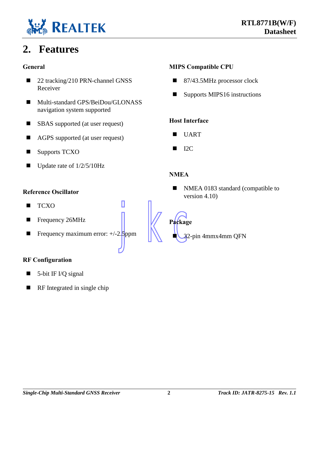

# <span id="page-5-0"></span>**2. Features**

### **General**

- 22 tracking/210 PRN-channel GNSS Receiver
- Multi-standard GPS/BeiDou/GLONASS navigation system supported
- SBAS supported (at user request)
- AGPS supported (at user request)
- Supports TCXO
- $\blacksquare$  Update rate of 1/2/5/10Hz

### **Reference Oscillator**

- **TCXO**
- Frequency 26MHz
- Frequency maximum error:  $+/-2.5$ ppm

### **RF Configuration**

- 5-bit IF I/Q signal
- $\blacksquare$  RF Integrated in single chip

### **MIPS Compatible CPU**

- 87/43.5MHz processor clock
- Supports MIPS16 instructions

### **Host Interface**

- UART
- $\blacksquare$  I2C

### **NMEA**

NMEA 0183 standard (compatible to version 4.10)

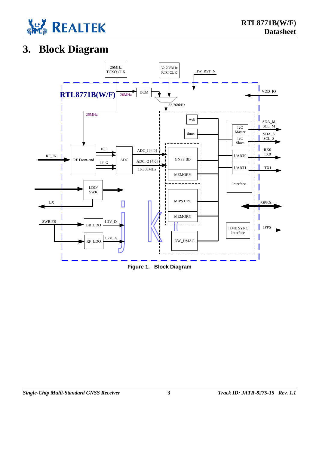

# <span id="page-6-0"></span>**3. Block Diagram**

<span id="page-6-1"></span>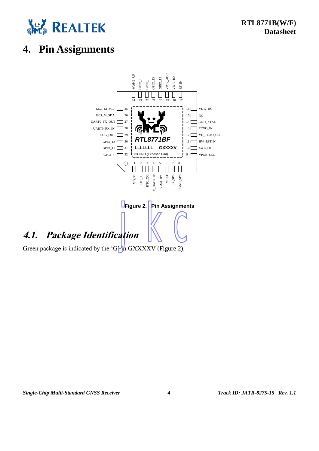

# <span id="page-7-0"></span>**4. Pin Assignments**

<span id="page-7-2"></span><span id="page-7-1"></span>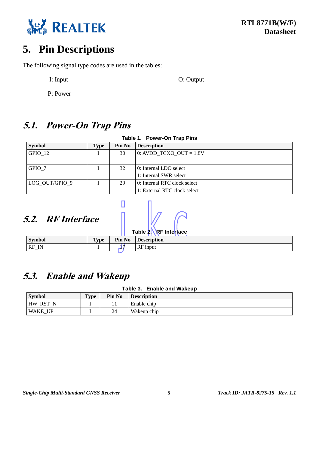

# <span id="page-8-0"></span>**5. Pin Descriptions**

The following signal type codes are used in the tables:

I: Input O: Output O: Output

P: Power

### <span id="page-8-1"></span>**5.1. Power-On Trap Pins**

<span id="page-8-4"></span>

| Table 1. Power-On Trap Pins |      |               |                              |  |  |  |
|-----------------------------|------|---------------|------------------------------|--|--|--|
| <b>Symbol</b>               | Type | <b>Pin No</b> | <b>Description</b>           |  |  |  |
| GPIO 12                     |      | 30            | 0: AVDD TCXO OUT = $1.8V$    |  |  |  |
| GPIO 7                      |      | 32            | 0: Internal LDO select       |  |  |  |
|                             |      |               | 1: Internal SWR select       |  |  |  |
| LOG OUT/GPIO 9              |      | 29            | 0: Internal RTC clock select |  |  |  |
|                             |      |               | 1: External RTC clock select |  |  |  |

# <span id="page-8-2"></span>**5.2. RF Interface**

<span id="page-8-5"></span>

| Table 2. Renterface |             |  |                           |  |  |  |
|---------------------|-------------|--|---------------------------|--|--|--|
| <b>Symbol</b>       | <b>Type</b> |  | <b>Pin No Description</b> |  |  |  |
|                     |             |  | RF input                  |  |  |  |
| $RF$ <sub>IN</sub>  |             |  |                           |  |  |  |

 $\sqrt{p}$ 

### <span id="page-8-3"></span>**5.3. Enable and Wakeup**

### **Table 3. Enable and Wakeup**

<span id="page-8-6"></span>

| <b>Symbol</b>      | <b>Type</b> | Pin No | <b>Description</b> |
|--------------------|-------------|--------|--------------------|
| RST N<br><b>HW</b> |             |        | Enable chip        |
| <b>WAKE UP</b>     |             | 24     | Wakeup chip        |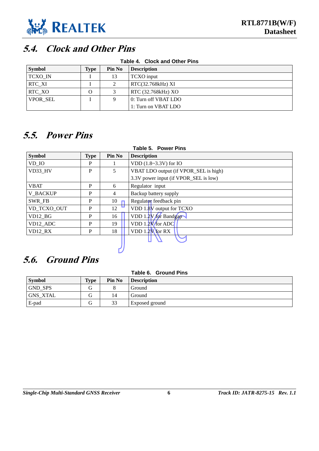

# <span id="page-9-0"></span>**5.4. Clock and Other Pins**

<span id="page-9-3"></span>

| Table 4. Clock and Other Pins |      |        |                      |  |  |  |
|-------------------------------|------|--------|----------------------|--|--|--|
| <b>Symbol</b>                 | Type | Pin No | <b>Description</b>   |  |  |  |
| TCXO_IN                       |      | 13     | TCXO input           |  |  |  |
| <b>RTC XI</b>                 |      | 2      | RTC(32.768kHz) XI    |  |  |  |
| RTC_XO                        | O    | 3      | RTC (32.768kHz) XO   |  |  |  |
| <b>VPOR SEL</b>               |      | 9      | 0: Turn off VBAT LDO |  |  |  |
|                               |      |        | 1: Turn on VBAT LDO  |  |  |  |

## <span id="page-9-1"></span>**5.5. Power Pins**

<span id="page-9-4"></span>

| Table 5. Power Pins |             |        |                                       |  |  |  |
|---------------------|-------------|--------|---------------------------------------|--|--|--|
| <b>Symbol</b>       | <b>Type</b> | Pin No | <b>Description</b>                    |  |  |  |
| VD IO               | P           |        | VDD (1.8~3.3V) for IO                 |  |  |  |
| VD33 HV             | P           | 5      | VBAT LDO output (if VPOR_SEL is high) |  |  |  |
|                     |             |        | 3.3V power input (if VPOR_SEL is low) |  |  |  |
| <b>VBAT</b>         | P           | 6      | Regulator input                       |  |  |  |
| <b>V BACKUP</b>     | P           | 4      | Backup battery supply                 |  |  |  |
| SWR FB              | P           | 10     | Regulator feedback pin                |  |  |  |
| VD TCXO OUT         | P           | 12     | <b>UVDD</b> 1.8V output for TCXO      |  |  |  |
| $VD12_BG$           | P           | 16     | VDD 1.2V for Bandgap                  |  |  |  |
| VD12 ADC            | P           | 19     | VDD 1.2V for ADC                      |  |  |  |
| $VD12_RX$           | P           | 18     | $VDD 1.2V$ for $RX$                   |  |  |  |
|                     |             |        |                                       |  |  |  |
|                     |             |        |                                       |  |  |  |

# <span id="page-9-2"></span>**5.6. Ground Pins**

<span id="page-9-5"></span>

| Table 6. Ground Pins |      |               |                    |  |  |  |  |
|----------------------|------|---------------|--------------------|--|--|--|--|
| <b>Symbol</b>        | Type | <b>Pin No</b> | <b>Description</b> |  |  |  |  |
| <b>GND SPS</b>       | G    | 8             | Ground             |  |  |  |  |
| <b>GNS XTAL</b>      | G    | 14            | Ground             |  |  |  |  |
| E-pad                | G    | 33            | Exposed ground     |  |  |  |  |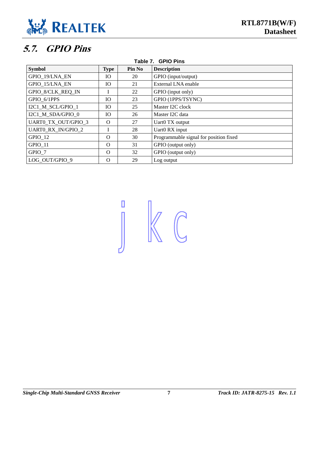

# <span id="page-10-0"></span>**5.7. GPIO Pins**

<span id="page-10-1"></span>

| Table 7. GPIO Pins         |                 |        |                                        |  |  |  |
|----------------------------|-----------------|--------|----------------------------------------|--|--|--|
| <b>Symbol</b>              | <b>Type</b>     | Pin No | <b>Description</b>                     |  |  |  |
| GPIO 19/LNA EN             | <b>IO</b>       | 20     | GPIO (input/output)                    |  |  |  |
| GPIO_15/LNA_EN             | IO <sub>1</sub> | 21     | External LNA enable                    |  |  |  |
| GPIO 8/CLK REQ IN          |                 | 22     | GPIO (input only)                      |  |  |  |
| GPIO 6/1PPS                | <b>IO</b>       | 23     | GPIO (1PPS/TSYNC)                      |  |  |  |
| I2C1_M_SCL/GPIO_1          | IO.             | 25     | Master I2C clock                       |  |  |  |
| I2C1 M SDA/GPIO 0          | <b>IO</b>       | 26     | Master I2C data                        |  |  |  |
| <b>UART0_TX_OUT/GPIO 3</b> | $\Omega$        | 27     | Uart0 TX output                        |  |  |  |
| <b>UARTO RX IN/GPIO 2</b>  |                 | 28     | Uart0 RX input                         |  |  |  |
| GPIO 12                    | $\Omega$        | 30     | Programmable signal for position fixed |  |  |  |
| GPIO_11                    | $\Omega$        | 31     | GPIO (output only)                     |  |  |  |
| GPIO 7                     | $\Omega$        | 32     | GPIO (output only)                     |  |  |  |
| LOG OUT/GPIO 9             | $\Omega$        | 29     | Log output                             |  |  |  |

jkc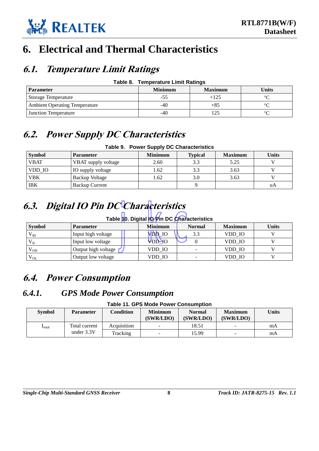

# <span id="page-11-0"></span>**6. Electrical and Thermal Characteristics**

### <span id="page-11-1"></span>**6.1. Temperature Limit Ratings**

| Table 8. |  | <b>Temperature Limit Ratings</b> |
|----------|--|----------------------------------|
|----------|--|----------------------------------|

<span id="page-11-6"></span>

| <b>Parameter</b>                     | <b>Minimum</b> | <b>Maximum</b> | Units   |
|--------------------------------------|----------------|----------------|---------|
| Storage Temperature                  | -၁၁            |                | $\circ$ |
| <b>Ambient Operating Temperature</b> | -40            | +85            | ∘∼      |
| <b>Junction Temperature</b>          | -40            |                | $\circ$ |

## <span id="page-11-2"></span>**6.2. Power Supply DC Characteristics**

### **Table 9. Power Supply DC Characteristics**

<span id="page-11-7"></span>

| <b>Symbol</b> | <b>Parameter</b>      | <b>Minimum</b> | <b>Typical</b> | <b>Maximum</b> | <b>Units</b> |
|---------------|-----------------------|----------------|----------------|----------------|--------------|
| <b>VBAT</b>   | VBAT supply voltage   | 2.60           | 3.3            | 5.25           |              |
| VDD IO        | IO supply voltage     | 1.62           | 3.3            | 3.63           |              |
| <b>VBK</b>    | Backup Voltage        | 1.62           | 3.0            | 3.63           |              |
| <b>IBK</b>    | <b>Backup Current</b> |                |                |                | uA           |

# <span id="page-11-8"></span><span id="page-11-3"></span>**6.3. Digital IO Pin DC Characteristics**

### <span id="page-11-10"></span>**Table 10. Digital IO Pin DC Characteristics**

| 6.3. Digital IO Pin DC Characteristics<br>Table 10. Digital IO Pin DC Characteristics |                     |                |               |                |              |  |  |  |  |
|---------------------------------------------------------------------------------------|---------------------|----------------|---------------|----------------|--------------|--|--|--|--|
| <b>Symbol</b>                                                                         | <b>Parameter</b>    | <b>Minimum</b> | <b>Normal</b> | <b>Maximum</b> | <b>Units</b> |  |  |  |  |
| $\rm V_{\rm IH}$                                                                      | Input high voltage  | <b>VDD 10</b>  | 33            | VDD IO         |              |  |  |  |  |
| $V_{IL}$                                                                              | Input low voltage   | VĐD IO         |               | VDD IO         |              |  |  |  |  |
| $V_{OH}$                                                                              | Output high voltage | VDD IO         |               | VDD IO         |              |  |  |  |  |
| $V_{OL}$                                                                              | Output low voltage  | VDD IO         |               | VDD IO         |              |  |  |  |  |

# <span id="page-11-4"></span>**6.4. Power Consumption**

### <span id="page-11-9"></span><span id="page-11-5"></span>*6.4.1. GPS Mode Power Consumption*

**Table 11. GPS Mode Power Consumption**

| <b>Symbol</b>        | <b>Parameter</b> | <b>Condition</b> | <b>Minimum</b><br>(SWR/LDO) | <b>Normal</b><br>(SWR/LDO) | <b>Maximum</b><br>(SWR/LDO) | Units |
|----------------------|------------------|------------------|-----------------------------|----------------------------|-----------------------------|-------|
| $\mathbf{I}_{total}$ | Total current    | Acquisition      | $\sim$                      | 18.51                      | $\overline{\phantom{a}}$    | mA    |
|                      | under $3.3V$     | Tracking         | -                           | 15.99                      | -                           | mA    |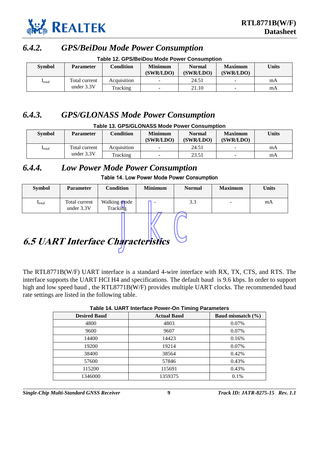

### <span id="page-12-0"></span>*6.4.2. GPS/BeiDou Mode Power Consumption*

<span id="page-12-4"></span>

| <b>Table 12. GPS/BeiDou Mode Power Consumption</b> |                                                                                                                                           |             |   |       |                          |    |  |  |
|----------------------------------------------------|-------------------------------------------------------------------------------------------------------------------------------------------|-------------|---|-------|--------------------------|----|--|--|
| <b>Symbol</b>                                      | Units<br><b>Condition</b><br><b>Minimum</b><br><b>Maximum</b><br><b>Normal</b><br><b>Parameter</b><br>(SWR/LDO)<br>(SWR/LDO)<br>(SWR/LDO) |             |   |       |                          |    |  |  |
| <b>I</b> total                                     | Total current                                                                                                                             | Acquisition | - | 24.51 | $\overline{\phantom{a}}$ | mA |  |  |
|                                                    | under $3.3V$                                                                                                                              | Tracking    | - | 21.10 | $\overline{\phantom{a}}$ | mA |  |  |

# <span id="page-12-1"></span>*6.4.3. GPS/GLONASS Mode Power Consumption*

### **Table 13. GPS/GLONASS Mode Power Consumption**

<span id="page-12-5"></span>

| <b>Symbol</b>        | <b>Parameter</b> | <b>Condition</b> | <b>Minimum</b><br>(SWR/LDO) | <b>Normal</b><br>(SWR/LDO) | <b>Maximum</b><br>(SWR/LDO) | Units |
|----------------------|------------------|------------------|-----------------------------|----------------------------|-----------------------------|-------|
| $\mathbf{I}_{total}$ | Total current    | Acquisition      | -                           | 24.51                      | $\overline{\phantom{a}}$    | mA    |
|                      | under $3.3V$     | Tracking         |                             | 23.51                      | -                           | mA    |

### <span id="page-12-2"></span>*6.4.4. Low Power Mode Power Consumption* Table 14. Low Power Mode Power Consumption

| <b>Symbol</b>  | <b>Parameter</b>              | Condition                       | <b>Minimum</b> | <b>Normal</b> | <b>Maximum</b> | <b>Units</b> |
|----------------|-------------------------------|---------------------------------|----------------|---------------|----------------|--------------|
| <b>I</b> total | Total current<br>under $3.3V$ | Walking mode<br><b>Tracking</b> |                | 3.3           |                | mA           |

# <span id="page-12-3"></span>jkc **6.5 UART Interface Characteristics**

The RTL8771B(W/F) UART interface is a standard 4-wire interface with RX, TX, CTS, and RTS. The interface supports the UART HCI H4 and specifications. The default baud is 9.6 kbps. In order to support high and low speed baud , the RTL8771B(W/F) provides multiple UART clocks. The recommended baud rate settings are listed in the following table.

<span id="page-12-6"></span>

|                     | Table 14. UART Interface Power-On Timing Parameters |                       |  |  |  |  |  |  |
|---------------------|-----------------------------------------------------|-----------------------|--|--|--|--|--|--|
| <b>Desired Baud</b> | <b>Actual Baud</b>                                  | Baud mismatch $(\% )$ |  |  |  |  |  |  |
| 4800                | 4803                                                | 0.07%                 |  |  |  |  |  |  |
| 9600                | 9607                                                | 0.07%                 |  |  |  |  |  |  |
| 14400               | 14423                                               | 0.16%                 |  |  |  |  |  |  |
| 19200               | 19214                                               | 0.07%                 |  |  |  |  |  |  |
| 38400               | 38564                                               | 0.42%                 |  |  |  |  |  |  |
| 57600               | 57846                                               | 0.43%                 |  |  |  |  |  |  |
| 115200              | 115691                                              | 0.43%                 |  |  |  |  |  |  |
| 1346000             | 1359375                                             | 0.1%                  |  |  |  |  |  |  |

### **Table 14. UART Interface Power-On Timing Parameters**

*Single-Chip Multi-Standard GNSS Receiver* **9** *Track ID: JATR-8275-15 Rev. 1.1*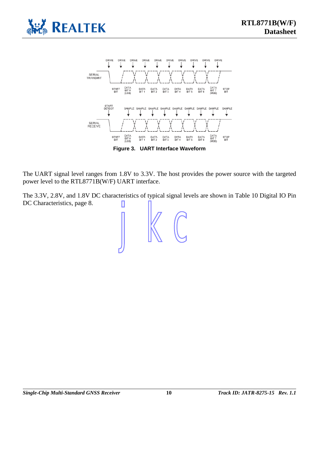



**Figure 3. UART Interface Waveform**

<span id="page-13-0"></span>The UART signal level ranges from 1.8V to 3.3V. The host provides the power source with the targeted power level to the RTL8771B(W/F) UART interface.

The 3.3V, 2.8V, and 1.8V DC characteristics of typical signal levels are shown in [Table 10](#page-11-8) [Digital IO Pin](#page-11-10)  [DC Characteristics,](#page-11-10) page 8.

jkc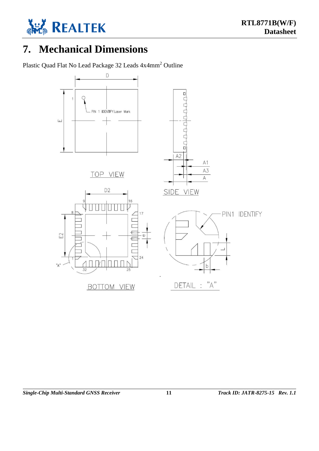

# <span id="page-14-0"></span>**7. Mechanical Dimensions**

Plastic Quad Flat No Lead Package 32 Leads 4x4mm<sup>2</sup> Outline